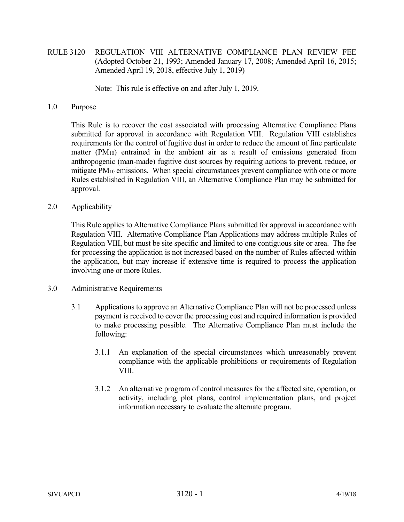RULE 3120 REGULATION VIII ALTERNATIVE COMPLIANCE PLAN REVIEW FEE (Adopted October 21, 1993; Amended January 17, 2008; Amended April 16, 2015; Amended April 19, 2018, effective July 1, 2019)

Note: This rule is effective on and after July 1, 2019.

1.0 Purpose

 This Rule is to recover the cost associated with processing Alternative Compliance Plans submitted for approval in accordance with Regulation VIII. Regulation VIII establishes requirements for the control of fugitive dust in order to reduce the amount of fine particulate matter  $(PM_{10})$  entrained in the ambient air as a result of emissions generated from anthropogenic (man-made) fugitive dust sources by requiring actions to prevent, reduce, or mitigate PM<sub>10</sub> emissions. When special circumstances prevent compliance with one or more Rules established in Regulation VIII, an Alternative Compliance Plan may be submitted for approval.

2.0 Applicability

 This Rule applies to Alternative Compliance Plans submitted for approval in accordance with Regulation VIII. Alternative Compliance Plan Applications may address multiple Rules of Regulation VIII, but must be site specific and limited to one contiguous site or area. The fee for processing the application is not increased based on the number of Rules affected within the application, but may increase if extensive time is required to process the application involving one or more Rules.

- 3.0 Administrative Requirements
	- 3.1 Applications to approve an Alternative Compliance Plan will not be processed unless payment is received to cover the processing cost and required information is provided to make processing possible. The Alternative Compliance Plan must include the following:
		- 3.1.1 An explanation of the special circumstances which unreasonably prevent compliance with the applicable prohibitions or requirements of Regulation VIII.
		- 3.1.2 An alternative program of control measures for the affected site, operation, or activity, including plot plans, control implementation plans, and project information necessary to evaluate the alternate program.